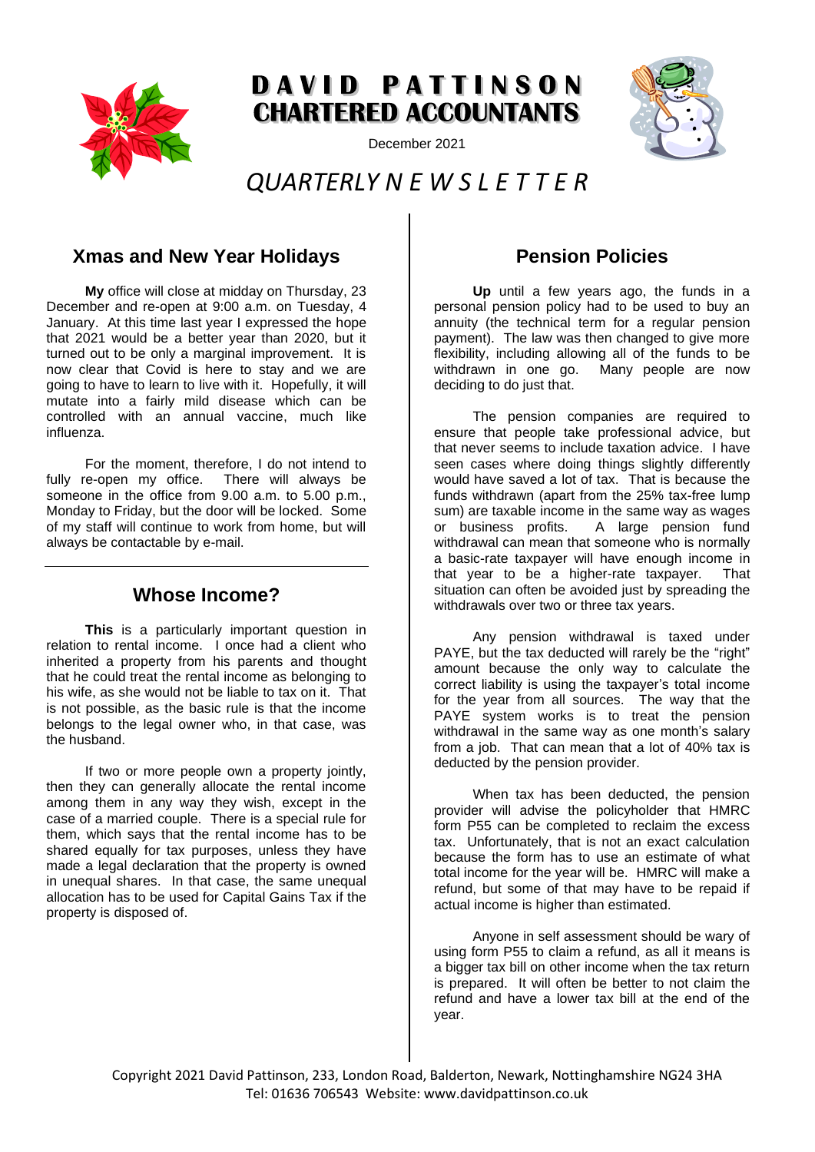

# DAVID PATTINSON **CHARTERED ACCOUNTANTS**

December 2021



## *QUARTERLY N E W S L E T T E R*

## **Xmas and New Year Holidays**

**My** office will close at midday on Thursday, 23 December and re-open at 9:00 a.m. on Tuesday, 4 January. At this time last year I expressed the hope that 2021 would be a better year than 2020, but it turned out to be only a marginal improvement. It is now clear that Covid is here to stay and we are going to have to learn to live with it. Hopefully, it will mutate into a fairly mild disease which can be controlled with an annual vaccine, much like influenza.

For the moment, therefore, I do not intend to<br>re-open my office. There will always be fully re-open my office. someone in the office from 9.00 a.m. to 5.00 p.m., Monday to Friday, but the door will be locked. Some of my staff will continue to work from home, but will always be contactable by e-mail.

#### **Whose Income?**

**This** is a particularly important question in relation to rental income. I once had a client who inherited a property from his parents and thought that he could treat the rental income as belonging to his wife, as she would not be liable to tax on it. That is not possible, as the basic rule is that the income belongs to the legal owner who, in that case, was the husband.

If two or more people own a property jointly, then they can generally allocate the rental income among them in any way they wish, except in the case of a married couple. There is a special rule for them, which says that the rental income has to be shared equally for tax purposes, unless they have made a legal declaration that the property is owned in unequal shares. In that case, the same unequal allocation has to be used for Capital Gains Tax if the property is disposed of.

## **Pension Policies**

**Up** until a few years ago, the funds in a personal pension policy had to be used to buy an annuity (the technical term for a regular pension payment). The law was then changed to give more flexibility, including allowing all of the funds to be withdrawn in one go. Many people are now deciding to do just that.

The pension companies are required to ensure that people take professional advice, but that never seems to include taxation advice. I have seen cases where doing things slightly differently would have saved a lot of tax. That is because the funds withdrawn (apart from the 25% tax-free lump sum) are taxable income in the same way as wages or business profits. A large pension fund withdrawal can mean that someone who is normally a basic-rate taxpayer will have enough income in that year to be a higher-rate taxpayer. That situation can often be avoided just by spreading the withdrawals over two or three tax years.

Any pension withdrawal is taxed under PAYE, but the tax deducted will rarely be the "right" amount because the only way to calculate the correct liability is using the taxpayer's total income for the year from all sources. The way that the PAYE system works is to treat the pension withdrawal in the same way as one month's salary from a job. That can mean that a lot of 40% tax is deducted by the pension provider.

When tax has been deducted, the pension provider will advise the policyholder that HMRC form P55 can be completed to reclaim the excess tax. Unfortunately, that is not an exact calculation because the form has to use an estimate of what total income for the year will be. HMRC will make a refund, but some of that may have to be repaid if actual income is higher than estimated.

Anyone in self assessment should be wary of using form P55 to claim a refund, as all it means is a bigger tax bill on other income when the tax return is prepared. It will often be better to not claim the refund and have a lower tax bill at the end of the year.

Copyright 2021 David Pattinson, 233, London Road, Balderton, Newark, Nottinghamshire NG24 3HA Tel: 01636 706543 Website: www.davidpattinson.co.uk